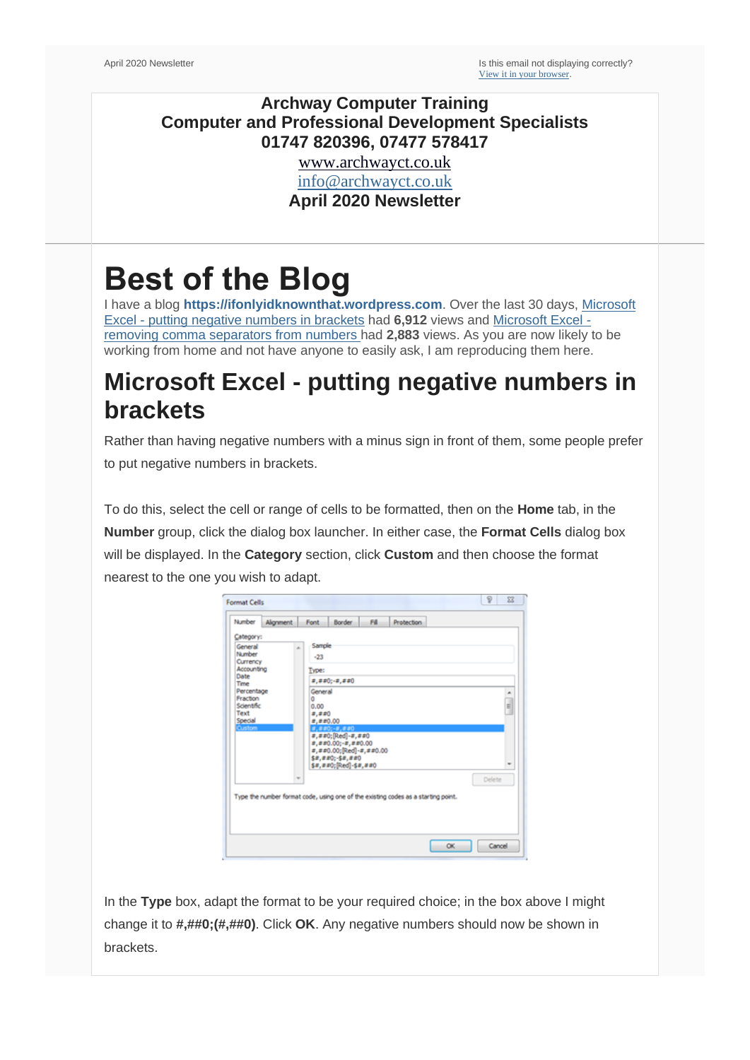#### **Archway Computer Training Computer and Professional Development Specialists 01747 820396, 07477 578417**

[www.archwayct.co.uk](http://www.archwayct.co.uk/) [info@archwayct.co.uk](mailto:%20info@archwayct.co.uk) **April 2020 Newsletter**

# **Best of the Blog**

I have a blog **[https://ifonlyidknownthat.wordpress.com](https://ifonlyidknownthat.wordpress.com/)**. Over the last 30 days, [Microsoft](https://ifonlyidknownthat.wordpress.com/2013/01/29/microsoft-excel-putting-negative-numbers-in-brackets/)  Excel - [putting negative numbers in brackets](https://ifonlyidknownthat.wordpress.com/2013/01/29/microsoft-excel-putting-negative-numbers-in-brackets/) had **6,912** views and [Microsoft Excel](https://ifonlyidknownthat.wordpress.com/2014/02/27/microsoft-excel-removing-comma-separators-from-numbers/)  [removing comma separators from numbers h](https://ifonlyidknownthat.wordpress.com/2014/02/27/microsoft-excel-removing-comma-separators-from-numbers/)ad **2,883** views. As you are now likely to be working from home and not have anyone to easily ask, I am reproducing them here.

### **Microsoft Excel - putting negative numbers in brackets**

Rather than having negative numbers with a minus sign in front of them, some people prefer to put negative numbers in brackets.

To do this, select the cell or range of cells to be formatted, then on the **Home** tab, in the **Number** group, click the dialog box launcher. In either case, the **Format Cells** dialog box will be displayed. In the **Category** section, click **Custom** and then choose the format nearest to the one you wish to adapt.

| Number                                                                                                                   | Alignment | Font                                                             | Border                                                                                                                               | <b>F&amp;</b> | <b>Protection</b>                                                                 |        |                |
|--------------------------------------------------------------------------------------------------------------------------|-----------|------------------------------------------------------------------|--------------------------------------------------------------------------------------------------------------------------------------|---------------|-----------------------------------------------------------------------------------|--------|----------------|
| Category:<br>General<br>Number<br>Currency<br>Accounting<br>Date<br>Time<br>Percentage<br>Fraction<br>Scientific<br>Text | ×         | Sample<br>$-23$<br><b>Type:</b><br>General<br>٥<br>0.00<br>2,220 | #,##0;-#,##0                                                                                                                         |               |                                                                                   |        | ۰<br>i.        |
| Special<br><b>Custom</b>                                                                                                 |           | $a, a$ $a0.00$                                                   | $8.880(-8.880)$<br>#,##0;[Red]-#,##0<br>x, xz0.00; x, xz0.00<br>#,##0.00;[Red]-#,##0.00<br>\$#,##0;-\$#,##0<br>\$#,##0;[Red]-\$#,##0 |               |                                                                                   |        | $\blacksquare$ |
|                                                                                                                          |           |                                                                  |                                                                                                                                      |               | Type the number format code, using one of the existing codes as a starting point. | Delete |                |

In the **Type** box, adapt the format to be your required choice; in the box above I might change it to **#,##0;(#,##0)**. Click **OK**. Any negative numbers should now be shown in brackets.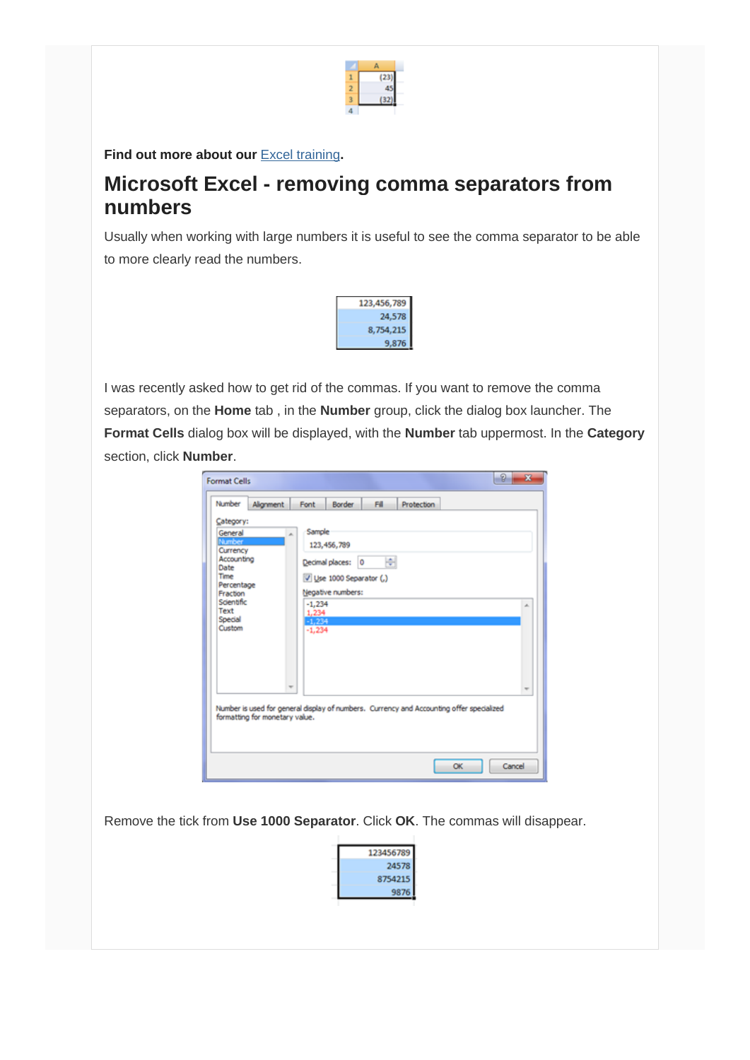

Find out more about our **[Excel training](http://www.archwayct.co.uk/microsoft-office-training/microsoft-excel-training)**.

### **Microsoft Excel - removing comma separators from numbers**

Usually when working with large numbers it is useful to see the comma separator to be able to more clearly read the numbers.



I was recently asked how to get rid of the commas. If you want to remove the comma separators, on the **Home** tab , in the **Number** group, click the dialog box launcher. The **Format Cells** dialog box will be displayed, with the **Number** tab uppermost. In the **Category** section, click **Number**.

| Number                                                                                                                                               | Alignment                                                                                                                  | Font                                                      | <b>Border</b>                                                                     | Fill- | Protection |  |   |
|------------------------------------------------------------------------------------------------------------------------------------------------------|----------------------------------------------------------------------------------------------------------------------------|-----------------------------------------------------------|-----------------------------------------------------------------------------------|-------|------------|--|---|
| Category:<br>General<br><b>Number</b><br>Currency<br>Accounting<br>Date<br>Time<br>Percentage<br>Fraction<br>Scientific<br>Text<br>Special<br>Custom |                                                                                                                            | Sample<br>×.<br>$-1,234$<br>1,234<br>$-1.234$<br>$-1,234$ | 123, 456, 789<br>Decimal places: 0<br>Use 1000 Separator (,)<br>Negative numbers: | ÷     |            |  | × |
|                                                                                                                                                      | Number is used for general display of numbers. Currency and Accounting offer specialized<br>formatting for monetary value. | ÷                                                         |                                                                                   |       |            |  |   |

Remove the tick from **Use 1000 Separator**. Click **OK**. The commas will disappear.

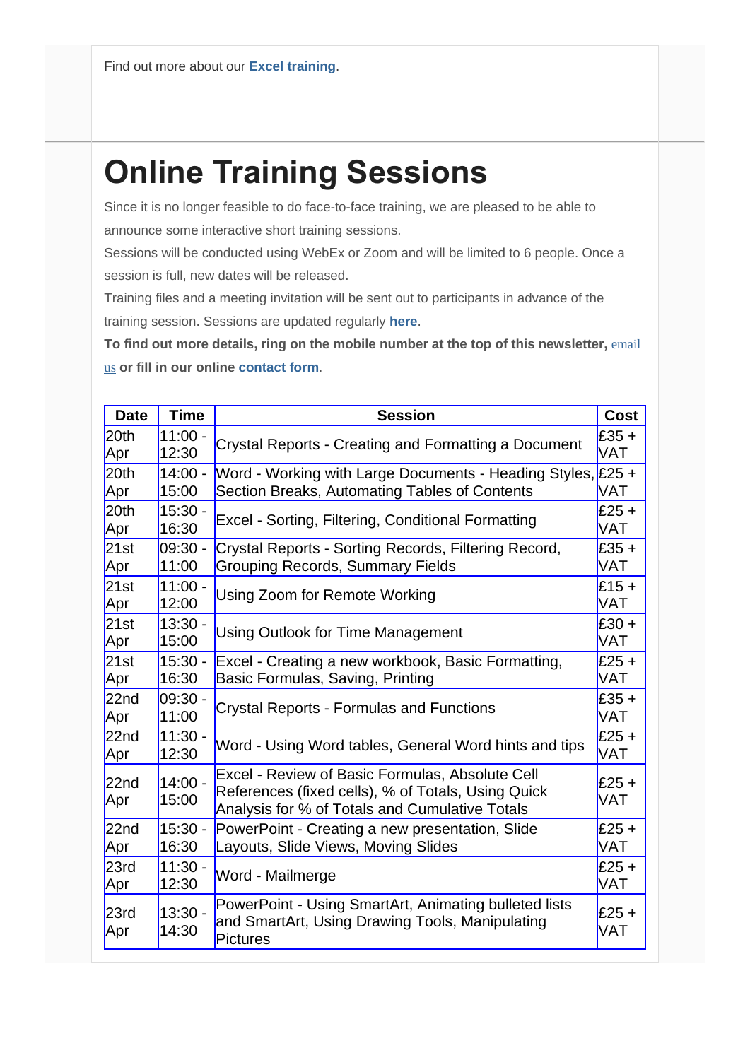## **Online Training Sessions**

Since it is no longer feasible to do face-to-face training, we are pleased to be able to announce some interactive short training sessions.

Sessions will be conducted using WebEx or Zoom and will be limited to 6 people. Once a session is full, new dates will be released.

Training files and a meeting invitation will be sent out to participants in advance of the training session. Sessions are updated regularly **[here](http://www.archwayct.co.uk/online-training)**.

To find out more details, ring on the mobile number at the top of this newsletter, **email** [us](mailto:janet@archwayct.co.uk?subject=Online%20training) **or fill in our online [contact form](http://www.archwayct.co.uk/contact-us)**.

| <b>Date</b>             | <b>Time</b>        | <b>Session</b>                                                                                                                                          | <b>Cost</b>    |
|-------------------------|--------------------|---------------------------------------------------------------------------------------------------------------------------------------------------------|----------------|
| 20 <sub>th</sub>        | $11:00 -$          | Crystal Reports - Creating and Formatting a Document                                                                                                    | $E35 +$        |
| Apr                     | 12:30              |                                                                                                                                                         | <b>VAT</b>     |
| 20th                    | $14:00 -$          | Word - Working with Large Documents - Heading Styles, £25 +                                                                                             | VAT            |
| Apr                     | 15:00              | Section Breaks, Automating Tables of Contents                                                                                                           |                |
| 20th                    | $15:30 -$          | Excel - Sorting, Filtering, Conditional Formatting                                                                                                      | $E25 +$        |
| Apr                     | 16:30              |                                                                                                                                                         | VAT            |
| 21st                    | 09:30 -            | Crystal Reports - Sorting Records, Filtering Record,                                                                                                    | $£35 +$        |
| Apr                     | 11:00              | <b>Grouping Records, Summary Fields</b>                                                                                                                 | VAT            |
| 21st                    | $11:00 -$          | Using Zoom for Remote Working                                                                                                                           | $£15 +$        |
| Apr                     | 12:00              |                                                                                                                                                         | <b>VAT</b>     |
| 21st                    | $13:30 -$          | <b>Using Outlook for Time Management</b>                                                                                                                | $£30 +$        |
| Apr                     | 15:00              |                                                                                                                                                         | <b>VAT</b>     |
| 21st                    | $15:30 -$          | Excel - Creating a new workbook, Basic Formatting,                                                                                                      | $£25 +$        |
| Apr                     | 16:30              | Basic Formulas, Saving, Printing                                                                                                                        | <b>VAT</b>     |
| 22 <sub>nd</sub>        | 09:30 -            | <b>Crystal Reports - Formulas and Functions</b>                                                                                                         | $£35 +$        |
| Apr                     | 11:00              |                                                                                                                                                         | <b>VAT</b>     |
| 22 <sub>nd</sub>        | $11:30 -$          | Word - Using Word tables, General Word hints and tips                                                                                                   | $E25 +$        |
| Apr                     | 12:30              |                                                                                                                                                         | <b>VAT</b>     |
| 22 <sub>nd</sub><br>Apr | $14:00 -$<br>15:00 | Excel - Review of Basic Formulas, Absolute Cell<br>References (fixed cells), % of Totals, Using Quick<br>Analysis for % of Totals and Cumulative Totals | $£25 +$<br>VAT |
| 22 <sub>nd</sub>        | $15:30 -$          | PowerPoint - Creating a new presentation, Slide                                                                                                         | $£25 +$        |
| Apr                     | 16:30              | Layouts, Slide Views, Moving Slides                                                                                                                     | VAT            |
| 23rd                    | $11:30 -$          | Word - Mailmerge                                                                                                                                        | $£25 +$        |
| Apr                     | 12:30              |                                                                                                                                                         | <b>VAT</b>     |
| 23rd<br>Apr             | $13:30 -$<br>14:30 | PowerPoint - Using SmartArt, Animating bulleted lists<br>and SmartArt, Using Drawing Tools, Manipulating<br><b>Pictures</b>                             | $£25 +$<br>VAT |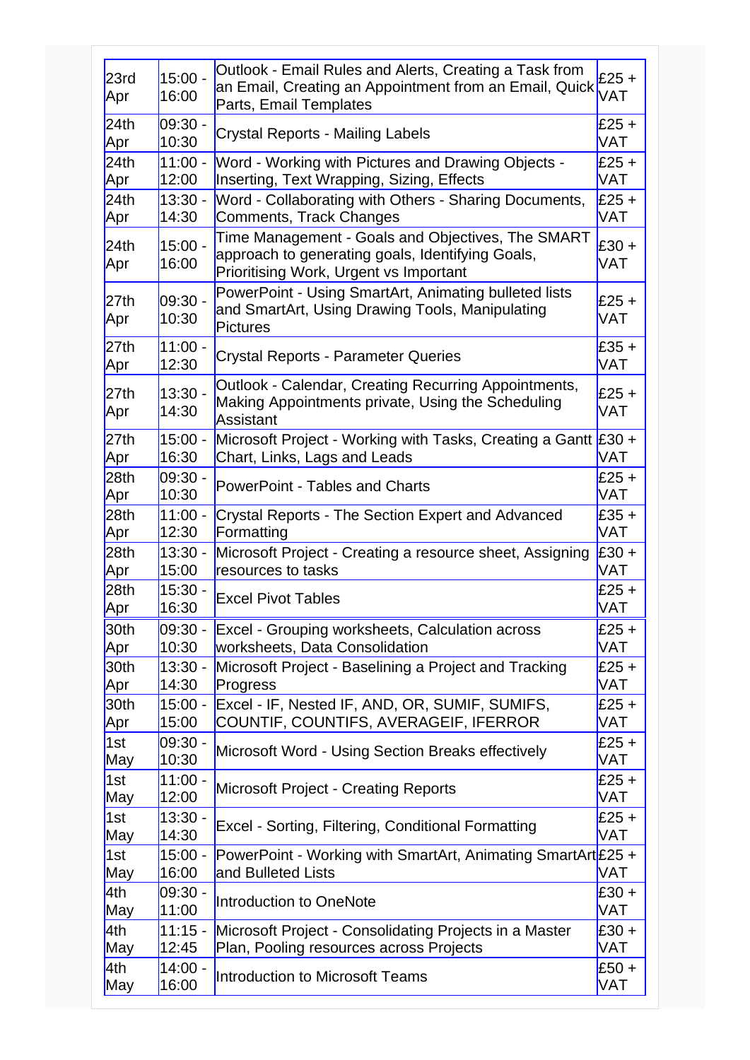| 23rd<br>Apr      | $15:00 -$<br>16:00 | Outlook - Email Rules and Alerts, Creating a Task from<br>an Email, Creating an Appointment from an Email, Quick<br>Parts, Email Templates      | £25 $+$<br>VAT |
|------------------|--------------------|-------------------------------------------------------------------------------------------------------------------------------------------------|----------------|
| 24th             | $09:30 -$          | <b>Crystal Reports - Mailing Labels</b>                                                                                                         | $£25 +$        |
| Apr              | 10:30              |                                                                                                                                                 | VAT            |
| 24th             | $11:00 -$          | Word - Working with Pictures and Drawing Objects -                                                                                              | $£25 +$        |
| Apr              | 12:00              | Inserting, Text Wrapping, Sizing, Effects                                                                                                       | VAT            |
| 24th             | $13:30 -$          | Word - Collaborating with Others - Sharing Documents,                                                                                           | $£25 +$        |
| Apr              | 14:30              | <b>Comments, Track Changes</b>                                                                                                                  | VAT            |
| 24th<br>Apr      | $15:00 -$<br>16:00 | Time Management - Goals and Objectives, The SMART<br>approach to generating goals, Identifying Goals,<br>Prioritising Work, Urgent vs Important | $£30 +$<br>VAT |
| 27th<br>Apr      | $09:30 -$<br>10:30 | PowerPoint - Using SmartArt, Animating bulleted lists<br>and SmartArt, Using Drawing Tools, Manipulating<br><b>Pictures</b>                     | $£25 +$<br>VAT |
| 27th             | $11:00 -$          | <b>Crystal Reports - Parameter Queries</b>                                                                                                      | $£35 +$        |
| Apr              | 12:30              |                                                                                                                                                 | VAT            |
| 27th<br>Apr      | $13:30 -$<br>14:30 | Outlook - Calendar, Creating Recurring Appointments,<br>Making Appointments private, Using the Scheduling<br>Assistant                          | $£25 +$<br>VAT |
| 27th             | $15:00 -$          | Microsoft Project - Working with Tasks, Creating a Gantt £30 +                                                                                  | VAT            |
| Apr              | 16:30              | Chart, Links, Lags and Leads                                                                                                                    |                |
| 28 <sub>th</sub> | 09:30 -            | <b>PowerPoint - Tables and Charts</b>                                                                                                           | $£25 +$        |
| Apr              | 10:30              |                                                                                                                                                 | VAT            |
| 28th             | $11:00 -$          | Crystal Reports - The Section Expert and Advanced                                                                                               | $£35 +$        |
| Apr              | 12:30              | Formatting                                                                                                                                      | <b>VAT</b>     |
| 28th             | $13:30 -$          | Microsoft Project - Creating a resource sheet, Assigning                                                                                        | £30 +          |
| Apr              | 15:00              | resources to tasks                                                                                                                              | VAT            |
| 28th             | $15:30 -$          | <b>Excel Pivot Tables</b>                                                                                                                       | $£25 +$        |
| Apr              | 16:30              |                                                                                                                                                 | VAT            |
| 30th             | 09:30 -            | <b>Excel - Grouping worksheets, Calculation across</b>                                                                                          | $£25 +$        |
| Apr              | 10:30              | worksheets, Data Consolidation                                                                                                                  | VAT            |
| 30th             | $13:30 -$          | Microsoft Project - Baselining a Project and Tracking                                                                                           | $£25 +$        |
| Apr              | 14:30              | Progress                                                                                                                                        | VAT            |
| 30th             | $15:00 -$          | Excel - IF, Nested IF, AND, OR, SUMIF, SUMIFS,                                                                                                  | $£25 +$        |
| Apr              | 15:00              | COUNTIF, COUNTIFS, AVERAGEIF, IFERROR                                                                                                           | VAT            |
| 1st              | $09:30 -$          | Microsoft Word - Using Section Breaks effectively                                                                                               | $£25 +$        |
| May              | 10:30              |                                                                                                                                                 | VAT            |
| 1st              | $11:00 -$          | <b>Microsoft Project - Creating Reports</b>                                                                                                     | $£25 +$        |
| May              | 12:00              |                                                                                                                                                 | VAT            |
| 1st              | $13:30 -$          | <b>Excel - Sorting, Filtering, Conditional Formatting</b>                                                                                       | $£25 +$        |
| May              | 14:30              |                                                                                                                                                 | VAT            |
| 1st              | $15:00 -$          | PowerPoint - Working with SmartArt, Animating SmartArt £25 +                                                                                    | VAT            |
| May              | 16:00              | and Bulleted Lists                                                                                                                              |                |
| 4th              | $09:30 -$          | Introduction to OneNote                                                                                                                         | $£30 +$        |
| May              | 11:00              |                                                                                                                                                 | VAT            |
| 4th              | $11:15 -$          | Microsoft Project - Consolidating Projects in a Master                                                                                          | $£30 +$        |
| May              | 12:45              | Plan, Pooling resources across Projects                                                                                                         | VAT            |
| 4th              | $14:00 -$          | <b>Introduction to Microsoft Teams</b>                                                                                                          | $£50 +$        |
| May              | 16:00              |                                                                                                                                                 | VAT            |
|                  |                    |                                                                                                                                                 |                |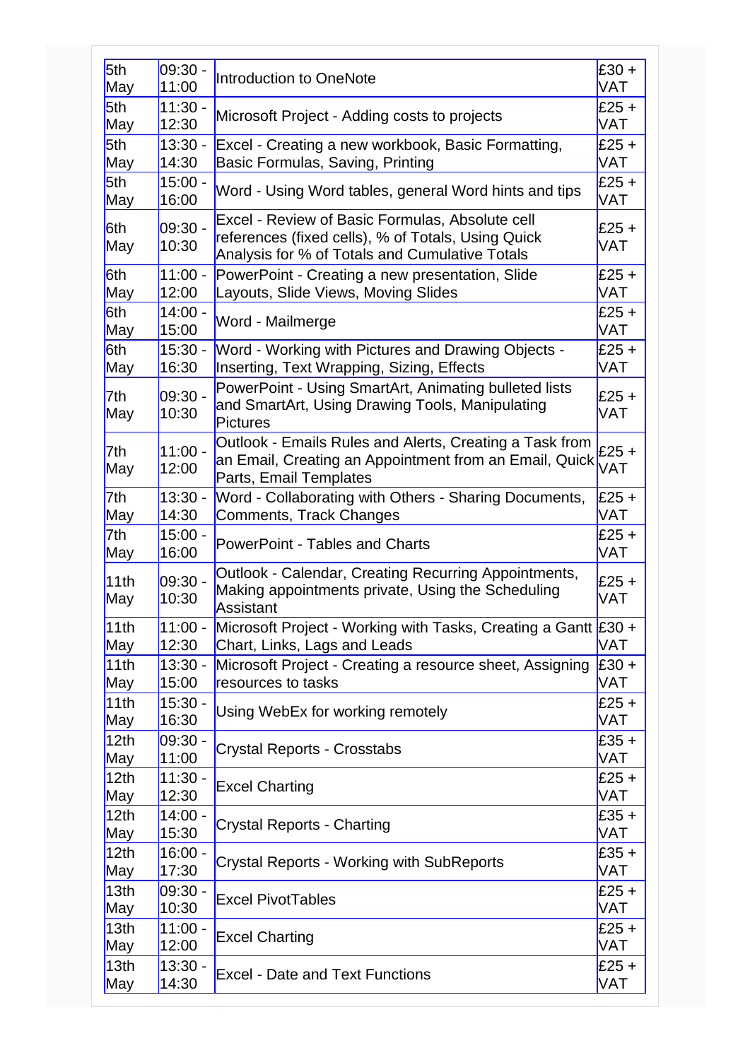| 5th              | $09:30 -$          | Introduction to OneNote                                                                                                                                 | £30 +                 |
|------------------|--------------------|---------------------------------------------------------------------------------------------------------------------------------------------------------|-----------------------|
| May              | 11:00              |                                                                                                                                                         | VAT                   |
| 5th              | $11:30 -$          | Microsoft Project - Adding costs to projects                                                                                                            | $£25 +$               |
| May              | 12:30              |                                                                                                                                                         | VAT                   |
| 5th              | $13:30 -$          | Excel - Creating a new workbook, Basic Formatting,                                                                                                      | $£25 +$               |
| May              | 14:30              | Basic Formulas, Saving, Printing                                                                                                                        | <b>VAT</b>            |
| 5th              | $15:00 -$          | Word - Using Word tables, general Word hints and tips                                                                                                   | $E25 +$               |
| May              | 16:00              |                                                                                                                                                         | <b>VAT</b>            |
| 6th<br>May       | $09:30 -$<br>10:30 | Excel - Review of Basic Formulas, Absolute cell<br>references (fixed cells), % of Totals, Using Quick<br>Analysis for % of Totals and Cumulative Totals | $£25 +$<br>VAT        |
| 6th              | $11:00 -$          | PowerPoint - Creating a new presentation, Slide                                                                                                         | $E25 +$               |
| May              | 12:00              | Layouts, Slide Views, Moving Slides                                                                                                                     | <b>VAT</b>            |
| 6th              | $14:00 -$          | Word - Mailmerge                                                                                                                                        | £25 +                 |
| May              | 15:00              |                                                                                                                                                         | <b>VAT</b>            |
| 6th              | $15:30 -$          | Word - Working with Pictures and Drawing Objects -                                                                                                      | $E25 +$               |
| May              | 16:30              | Inserting, Text Wrapping, Sizing, Effects                                                                                                               | <b>VAT</b>            |
| 7th<br>May       | $09:30 -$<br>10:30 | PowerPoint - Using SmartArt, Animating bulleted lists<br>and SmartArt, Using Drawing Tools, Manipulating<br><b>Pictures</b>                             | $£25 +$<br><b>VAT</b> |
| 7th<br>May       | $11:00 -$<br>12:00 | Outlook - Emails Rules and Alerts, Creating a Task from<br>an Email, Creating an Appointment from an Email, Quick<br>Parts, Email Templates             | $£25 +$<br>VAT        |
| 7th              | $13:30 -$          | Word - Collaborating with Others - Sharing Documents,                                                                                                   | $E25 +$               |
| May              | 14:30              | Comments, Track Changes                                                                                                                                 | <b>VAT</b>            |
| 7th              | $15:00 -$          | <b>PowerPoint - Tables and Charts</b>                                                                                                                   | $E25 +$               |
| May              | 16:00              |                                                                                                                                                         | <b>VAT</b>            |
| 11th<br>May      | $09:30 -$<br>10:30 | Outlook - Calendar, Creating Recurring Appointments,<br>Making appointments private, Using the Scheduling<br>Assistant                                  | $E25 +$<br><b>VAT</b> |
| 11th             | $11:00 -$          | Microsoft Project - Working with Tasks, Creating a Gantt $\text{\pounds}30 +$                                                                           | <b>VAT</b>            |
| May              | 12:30              | Chart, Links, Lags and Leads                                                                                                                            |                       |
| 11th             | $13:30 -$          | Microsoft Project - Creating a resource sheet, Assigning                                                                                                | $E30 +$               |
| May              | 15:00              | resources to tasks                                                                                                                                      | <b>VAT</b>            |
| 11th             | $15:30 -$          | Using WebEx for working remotely                                                                                                                        | $£25 +$               |
| May              | 16:30              |                                                                                                                                                         | VAT                   |
| 12th             | $09:30 -$          | <b>Crystal Reports - Crosstabs</b>                                                                                                                      | $E35 +$               |
| May              | 11:00              |                                                                                                                                                         | <b>VAT</b>            |
| 12 <sub>th</sub> | $11:30 -$          | <b>Excel Charting</b>                                                                                                                                   | $£25 +$               |
| May              | 12:30              |                                                                                                                                                         | <b>VAT</b>            |
| 12 <sub>th</sub> | $14:00 -$          | <b>Crystal Reports - Charting</b>                                                                                                                       | $E35 +$               |
| May              | 15:30              |                                                                                                                                                         | <b>VAT</b>            |
| 12 <sub>th</sub> | $16:00 -$          | <b>Crystal Reports - Working with SubReports</b>                                                                                                        | $£35 +$               |
| May              | 17:30              |                                                                                                                                                         | <b>VAT</b>            |
| 13 <sub>th</sub> | $09:30 -$          | <b>Excel PivotTables</b>                                                                                                                                | $E25 +$               |
| May              | 10:30              |                                                                                                                                                         | <b>VAT</b>            |
| 13 <sub>th</sub> | $11:00 -$          | <b>Excel Charting</b>                                                                                                                                   | $£25 +$               |
| May              | 12:00              |                                                                                                                                                         | <b>VAT</b>            |
| 13 <sub>th</sub> | $13:30 -$          | <b>Excel - Date and Text Functions</b>                                                                                                                  | $E25 +$               |
| May              | 14:30              |                                                                                                                                                         | <b>VAT</b>            |